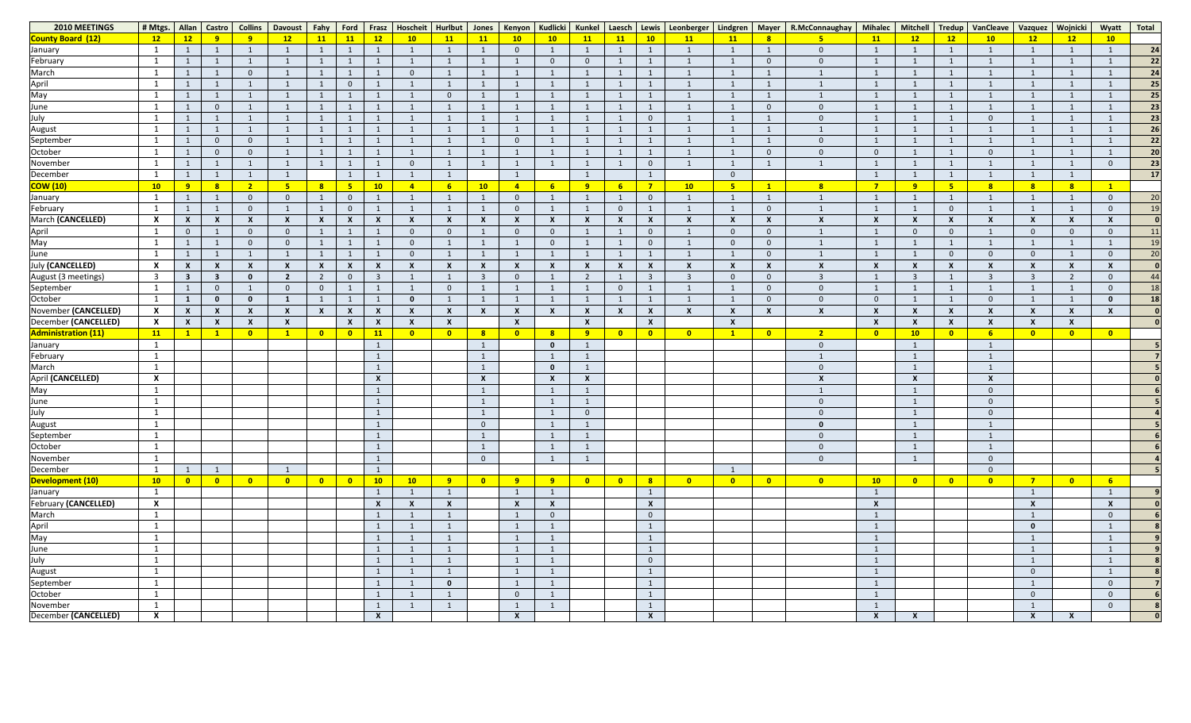| 2010 MEETINGS              | # Mtgs.                   | Allan                     | Castro                    | <b>Collins</b>            | <b>Davoust</b>          | $ $ Fahy                  | Ford                      | <b>Frasz</b>                 | Hoscheit                  | Hurlbut                   | Jones                     | <b>Kenyon</b>             | <b>Kudlicki</b>           | Kunkel                  | Laesch                  |                         | Lewis   Leonberger      | Lindgren                |                         | Mayer   R.McConnaughay    | <b>Mihalec</b>            | Mitchell                  | Tredup                  | VanCleave                 | Vazquez                   | <b>Wojnicki</b> | Wyatt                   | <b>Total</b> |
|----------------------------|---------------------------|---------------------------|---------------------------|---------------------------|-------------------------|---------------------------|---------------------------|------------------------------|---------------------------|---------------------------|---------------------------|---------------------------|---------------------------|-------------------------|-------------------------|-------------------------|-------------------------|-------------------------|-------------------------|---------------------------|---------------------------|---------------------------|-------------------------|---------------------------|---------------------------|-----------------|-------------------------|--------------|
| County Board (12)          | 12                        | 12                        | 9                         | 9                         | 12                      | 11                        | 11                        | 12                           | 10                        | 11                        | 11                        | 10                        | 10                        | 11                      | 11                      | 10                      | <b>11</b>               | 11                      |                         | 5 <sub>o</sub>            | 11                        | 12                        | 12                      | 10                        | 12                        | 12              | 10                      |              |
| January                    | $\mathbf{1}$              | -1                        |                           |                           |                         | 1                         |                           |                              |                           |                           |                           | $\overline{0}$            |                           |                         |                         |                         |                         | - 1                     |                         | $\mathbf{0}$              |                           |                           |                         |                           |                           |                 |                         | 24           |
| February                   | $\mathbf{1}$              |                           |                           |                           |                         |                           |                           |                              |                           |                           |                           |                           | $\Omega$                  | $\Omega$                |                         |                         |                         |                         | $\Omega$                | $\overline{0}$            |                           |                           |                         |                           |                           |                 |                         | 22           |
| March                      | $\mathbf{1}$              |                           |                           | $\theta$                  |                         | 1                         |                           |                              |                           |                           |                           |                           |                           |                         |                         |                         |                         |                         |                         |                           |                           |                           |                         |                           |                           |                 |                         | 24           |
| April                      | $\mathbf{1}$              |                           |                           |                           |                         |                           | $\Omega$                  |                              |                           |                           |                           |                           |                           |                         |                         |                         |                         | - 1                     |                         |                           |                           |                           |                         |                           |                           |                 |                         | 25           |
| May                        | $\mathbf{1}$              |                           |                           |                           |                         | 1                         |                           |                              |                           |                           |                           |                           |                           |                         |                         |                         |                         | - 1                     |                         |                           |                           |                           |                         |                           |                           |                 |                         | 25           |
| June                       | $\mathbf{1}$              |                           | $\overline{0}$            |                           |                         |                           |                           |                              |                           |                           |                           |                           |                           |                         |                         |                         |                         | - 1                     | $\Omega$                | $\mathbf{0}$              |                           |                           |                         |                           |                           |                 |                         | 23           |
| July                       | $\mathbf{1}$              |                           |                           |                           |                         | 1                         |                           |                              |                           |                           |                           |                           |                           |                         |                         |                         |                         | - 1                     |                         | $\mathbf{0}$              |                           |                           |                         |                           |                           |                 |                         | 23           |
| <b>August</b>              | $\overline{1}$            |                           |                           |                           |                         |                           |                           |                              |                           |                           |                           |                           |                           |                         |                         |                         |                         | - 1                     |                         | $\mathbf 1$               |                           |                           |                         |                           |                           |                 |                         | 26           |
|                            | $\mathbf{1}$              |                           | $\Omega$                  | $\theta$                  |                         | 1                         |                           |                              |                           |                           |                           | $\overline{0}$            |                           |                         |                         |                         |                         | - 1                     |                         | $\mathbf{0}$              |                           |                           |                         |                           |                           |                 |                         | 22           |
| September<br>October       | $\mathbf{1}$              |                           | $\overline{0}$            | $\Omega$                  |                         |                           |                           |                              |                           |                           |                           |                           |                           |                         |                         |                         |                         | - 1                     | $\Omega$                | $\mathbf{0}$              |                           |                           |                         |                           |                           |                 |                         | 20           |
| November                   | $\mathbf{1}$              |                           |                           |                           |                         | 1                         |                           |                              |                           |                           |                           |                           |                           |                         |                         |                         |                         | $\mathbf{1}$            |                         |                           |                           |                           |                         |                           |                           |                 |                         | 23           |
| December                   | $\mathbf{1}$              |                           |                           |                           |                         |                           | $\mathbf{1}$              |                              |                           |                           |                           |                           |                           |                         |                         |                         |                         | $\overline{0}$          |                         |                           |                           |                           |                         |                           |                           |                 |                         | 17           |
| <mark>COW (10)</mark>      | 10                        | 9                         | 8                         | ా                         | 5                       | 8                         | 5 <sub>o</sub>            | 10                           | $\overline{4}$            |                           | 10 <sub>1</sub>           | $\overline{4}$            | $6\overline{6}$           | $\mathbf{q}$            | $6\overline{6}$         | $\overline{7}$          | 10                      | $5^{\circ}$             | $\mathbf{1}$            | 8 <sup>2</sup>            | $\overline{7}$            | - 9                       |                         | $\overline{\mathbf{8}}$   | 8                         |                 |                         |              |
| January                    | 1                         |                           |                           | $\theta$                  |                         | 1                         | $\Omega$                  |                              |                           |                           |                           | $\overline{0}$            |                           |                         |                         |                         |                         | - 1                     |                         |                           |                           |                           |                         |                           |                           |                 |                         |              |
| February                   | $\mathbf{1}$              |                           |                           | $\overline{0}$            |                         | 1                         | $\overline{0}$            |                              |                           |                           |                           | $\overline{0}$            |                           |                         | $\overline{0}$          |                         |                         | $\overline{1}$          | $\Omega$                |                           |                           |                           |                         |                           |                           |                 |                         | $\mathbf{1}$ |
| March (CANCELLED)          | $\boldsymbol{\mathsf{x}}$ | $\boldsymbol{\mathsf{X}}$ |                           | $\boldsymbol{\mathsf{X}}$ |                         | $\boldsymbol{\mathsf{X}}$ | $\boldsymbol{\mathsf{X}}$ | X                            | $\boldsymbol{\mathsf{x}}$ |                           |                           | $\boldsymbol{\mathsf{x}}$ | $\boldsymbol{\mathsf{x}}$ |                         | X                       | X                       |                         | $\boldsymbol{X}$        |                         | $\boldsymbol{\mathsf{X}}$ |                           | X                         |                         |                           | $\boldsymbol{\mathsf{X}}$ |                 |                         |              |
|                            | $\mathbf{1}$              | $\overline{0}$            |                           | $\overline{0}$            | $\Omega$                | 1                         |                           |                              | $\overline{0}$            |                           |                           | $\overline{0}$            | $\overline{0}$            |                         |                         |                         |                         | $\overline{0}$          | $\Omega$                |                           |                           | $\Omega$                  |                         |                           | $\overline{0}$            | $\Omega$        |                         | 11           |
| April<br>May               | $\mathbf{1}$              |                           |                           | $\Omega$                  |                         |                           |                           |                              | $\Omega$                  |                           |                           |                           | $\Omega$                  |                         |                         |                         |                         | $\overline{0}$          | $\Omega$                |                           |                           |                           |                         |                           |                           |                 |                         |              |
| June                       | $\mathbf{1}$              |                           |                           |                           |                         | 1                         | 1                         |                              | $\Omega$                  |                           |                           |                           |                           |                         |                         |                         |                         | $\mathbf{1}$            | $\Omega$                |                           |                           |                           |                         |                           | $\overline{0}$            |                 |                         | 20           |
| July (CANCELLED)           | $\boldsymbol{\mathsf{x}}$ | $\mathbf{x}$              |                           | $\boldsymbol{\mathsf{X}}$ |                         | $\boldsymbol{\mathsf{X}}$ | $\boldsymbol{\mathsf{x}}$ | X                            | $\boldsymbol{\mathsf{x}}$ |                           |                           | $\boldsymbol{\mathsf{X}}$ |                           |                         | X                       | X                       |                         | $\boldsymbol{X}$        |                         | $\boldsymbol{X}$          |                           | X                         |                         |                           | $\boldsymbol{\mathsf{x}}$ |                 |                         |              |
| August (3 meetings)        | $\overline{\mathbf{3}}$   | $\overline{\mathbf{3}}$   | $\overline{\mathbf{3}}$   | 0                         | $\overline{2}$          | $\overline{2}$            | $\overline{0}$            |                              |                           |                           |                           | $\overline{0}$            |                           |                         |                         | -3                      |                         | $\overline{0}$          | $\Omega$                | $\overline{3}$            |                           |                           |                         |                           | $\overline{3}$            |                 |                         |              |
| September                  | $\mathbf{1}$              |                           | $\overline{0}$            |                           | $\Omega$                | $\mathbf 0$               |                           |                              |                           |                           |                           |                           |                           |                         | 0                       |                         |                         | - 1                     | $\Omega$                | $\overline{0}$            |                           |                           |                         |                           |                           |                 |                         |              |
| October                    | $\mathbf{1}$              | $\mathbf{1}$              | $\mathbf{0}$              | 0                         |                         | 1                         | 1                         |                              | $\mathbf{0}$              |                           |                           |                           |                           |                         |                         |                         |                         | $\mathbf{1}$            | $\Omega$                | $\overline{0}$            | $\Omega$                  |                           |                         |                           |                           |                 |                         | 18           |
| November (CANCELLED)       | $\boldsymbol{\mathsf{X}}$ | $\boldsymbol{X}$          |                           |                           |                         | $\boldsymbol{\mathsf{X}}$ | $\boldsymbol{\mathsf{X}}$ | X                            | $\boldsymbol{\mathsf{x}}$ |                           | $\boldsymbol{\mathsf{X}}$ | $\boldsymbol{\mathsf{X}}$ | $\boldsymbol{\mathsf{x}}$ |                         | X                       | X                       |                         | $\boldsymbol{X}$        |                         | $\boldsymbol{\mathsf{X}}$ |                           | X                         |                         |                           | X                         |                 |                         |              |
| December (CANCELLED)       | $\boldsymbol{\mathsf{X}}$ | $\mathbf{x}$              | $\boldsymbol{\mathsf{X}}$ | $\boldsymbol{X}$          |                         |                           | $\boldsymbol{\mathsf{X}}$ | X                            | $\boldsymbol{\mathsf{X}}$ |                           |                           | $\boldsymbol{\mathsf{x}}$ |                           | X                       |                         | $\boldsymbol{X}$        |                         | $\boldsymbol{X}$        |                         |                           | $\mathbf{x}$              | $\boldsymbol{X}$          |                         |                           | $\boldsymbol{\mathsf{X}}$ |                 |                         |              |
| <b>Administration (11)</b> | 11                        | $\mathbf{1}$              | $\mathbf{1}$              | $\overline{\mathbf{0}}$   |                         | $\bullet$                 | $\bullet$                 | 11                           | $\overline{\mathbf{0}}$   | $\mathbf{0}$              | $\overline{\mathbf{8}}$   | $\overline{\mathbf{0}}$   | 8                         | 9                       | $\overline{\mathbf{0}}$ | $\overline{\mathbf{0}}$ | $\overline{\mathbf{0}}$ | $\mathbf{1}$            | $\overline{\mathbf{0}}$ | 2 <sup>7</sup>            | $\mathbf{0}$              | 10                        |                         |                           | $\overline{\mathbf{0}}$   | $\mathbf{0}$    | $\overline{\mathbf{0}}$ |              |
| January                    | $\mathbf{1}$              |                           |                           |                           |                         |                           |                           |                              |                           |                           |                           |                           | 0                         |                         |                         |                         |                         |                         |                         | $\Omega$                  |                           |                           |                         |                           |                           |                 |                         |              |
| February                   |                           |                           |                           |                           |                         |                           |                           |                              |                           |                           |                           |                           |                           |                         |                         |                         |                         |                         |                         |                           |                           |                           |                         |                           |                           |                 |                         |              |
| March                      | $\mathbf{1}$              |                           |                           |                           |                         |                           |                           |                              |                           |                           | $\mathbf{1}$              |                           | $\mathbf 0$               |                         |                         |                         |                         |                         |                         | $\mathbf{0}$              |                           |                           |                         |                           |                           |                 |                         |              |
| April (CANCELLED)          | $\boldsymbol{\mathsf{X}}$ |                           |                           |                           |                         |                           |                           | $\boldsymbol{X}$             |                           |                           | $\boldsymbol{X}$          |                           | $\boldsymbol{\mathsf{X}}$ |                         |                         |                         |                         |                         |                         | $\boldsymbol{\mathsf{x}}$ |                           | $\boldsymbol{\mathsf{X}}$ |                         | $\boldsymbol{\mathsf{X}}$ |                           |                 |                         |              |
| May                        | $\mathbf{1}$              |                           |                           |                           |                         |                           |                           | 1                            |                           |                           | $\mathbf{1}$              |                           | - 1                       |                         |                         |                         |                         |                         |                         | $\mathbf{1}$              |                           |                           |                         | $\Omega$                  |                           |                 |                         |              |
|                            | $\mathbf{1}$              |                           |                           |                           |                         |                           |                           | $\mathbf{1}$                 |                           |                           | $\mathbf{1}$              |                           |                           |                         |                         |                         |                         |                         |                         | $\overline{0}$            |                           |                           |                         | $\Omega$                  |                           |                 |                         |              |
| June                       | $\mathbf{1}$              |                           |                           |                           |                         |                           |                           | <sup>1</sup>                 |                           |                           | $\mathbf{1}$              |                           | - 1                       | $\overline{0}$          |                         |                         |                         |                         |                         | $\overline{0}$            |                           |                           |                         | $\Omega$                  |                           |                 |                         |              |
| July<br>August             | $\mathbf{1}$              |                           |                           |                           |                         |                           |                           | $\mathbf{1}$                 |                           |                           | $\overline{0}$            |                           |                           |                         |                         |                         |                         |                         |                         | $\mathbf 0$               |                           |                           |                         |                           |                           |                 |                         |              |
|                            | $\mathbf{1}$              |                           |                           |                           |                         |                           |                           | $\mathbf{1}$                 |                           |                           | $\mathbf{1}$              |                           | - 1                       |                         |                         |                         |                         |                         |                         | $\overline{0}$            |                           |                           |                         |                           |                           |                 |                         |              |
| September<br>October       | $\mathbf{1}$              |                           |                           |                           |                         |                           |                           |                              |                           |                           | $\mathbf{1}$              |                           |                           |                         |                         |                         |                         |                         |                         | $\overline{0}$            |                           |                           |                         |                           |                           |                 |                         |              |
| November                   | $\mathbf{1}$              |                           |                           |                           |                         |                           |                           | $\mathbf{1}$<br><sup>1</sup> |                           |                           | $\overline{0}$            |                           | - 1                       |                         |                         |                         |                         |                         |                         | $\overline{0}$            |                           |                           |                         | $\Omega$                  |                           |                 |                         |              |
| December                   | $\mathbf{1}$              | $\mathbf{1}$              |                           |                           |                         |                           |                           |                              |                           |                           |                           |                           |                           |                         |                         |                         |                         | $\mathbf{1}$            |                         |                           |                           |                           |                         | $\Omega$                  |                           |                 |                         |              |
| Development (10)           | 10                        | $\overline{\mathbf{0}}$   | $\bullet$                 | $\overline{\mathbf{0}}$   | $\overline{\mathbf{0}}$ | $\bullet$                 | $\bullet$                 | 10                           | 10                        | 9                         | $\bullet$                 | 9                         | 9                         | $\overline{\mathbf{0}}$ | $\bullet$               | 8 <sup>2</sup>          | $\bullet$               | $\overline{\mathbf{0}}$ | $\bullet$               | $\bullet$                 | 10 <sub>1</sub>           | $\overline{\mathbf{0}}$   | $\overline{\mathbf{0}}$ | $\overline{\mathbf{0}}$   | $\overline{7}$            | $\bullet$       | 6 <sup>1</sup>          |              |
| January                    | $\mathbf{1}$              |                           |                           |                           |                         |                           |                           |                              |                           |                           |                           | $\mathbf{1}$              |                           |                         |                         |                         |                         |                         |                         |                           |                           |                           |                         |                           |                           |                 |                         |              |
| February (CANCELLED)       | $\boldsymbol{\mathsf{X}}$ |                           |                           |                           |                         |                           |                           | $\boldsymbol{\mathsf{X}}$    | $\boldsymbol{\mathsf{x}}$ | $\boldsymbol{\mathsf{x}}$ |                           | $\boldsymbol{X}$          | $\boldsymbol{X}$          |                         |                         | $\boldsymbol{X}$        |                         |                         |                         |                           | $\boldsymbol{\mathsf{X}}$ |                           |                         |                           | $\boldsymbol{\mathsf{x}}$ |                 |                         |              |
| March                      | $\mathbf{1}$              |                           |                           |                           |                         |                           |                           |                              |                           |                           |                           |                           | $\overline{0}$            |                         |                         | $\overline{0}$          |                         |                         |                         |                           |                           |                           |                         |                           |                           |                 | $\overline{0}$          |              |
|                            |                           |                           |                           |                           |                         |                           |                           |                              |                           |                           |                           |                           |                           |                         |                         |                         |                         |                         |                         |                           |                           |                           |                         |                           | $\mathbf 0$               |                 |                         |              |
| April<br>May               | $\mathbf{1}$              |                           |                           |                           |                         |                           |                           |                              |                           |                           |                           | $\mathbf{1}$              |                           |                         |                         |                         |                         |                         |                         |                           |                           |                           |                         |                           |                           |                 |                         |              |
|                            | $\mathbf{1}$              |                           |                           |                           |                         |                           |                           |                              |                           |                           |                           | $\mathbf{1}$              |                           |                         |                         |                         |                         |                         |                         |                           |                           |                           |                         |                           |                           |                 |                         |              |
| June<br>July               | $\mathbf{1}$              |                           |                           |                           |                         |                           |                           |                              |                           |                           |                           | $\mathbf{1}$              |                           |                         |                         |                         |                         |                         |                         |                           |                           |                           |                         |                           |                           |                 |                         |              |
|                            | $\mathbf{1}$              |                           |                           |                           |                         |                           |                           |                              |                           |                           |                           | $\mathbf{1}$              |                           |                         |                         | $\overline{0}$          |                         |                         |                         |                           |                           |                           |                         |                           |                           |                 |                         |              |
| August<br>September        | $\mathbf{1}$              |                           |                           |                           |                         |                           |                           |                              |                           |                           |                           | $\mathbf{1}$              |                           |                         |                         |                         |                         |                         |                         |                           |                           |                           |                         |                           | $\overline{0}$            |                 |                         |              |
|                            | $\mathbf{1}$              |                           |                           |                           |                         |                           |                           |                              |                           | $\mathbf{0}$              |                           | 1                         |                           |                         |                         |                         |                         |                         |                         |                           |                           |                           |                         |                           |                           |                 | $\overline{0}$          |              |
| October                    | $\mathbf{1}$              |                           |                           |                           |                         |                           |                           |                              |                           |                           |                           | $\overline{0}$            |                           |                         |                         |                         |                         |                         |                         |                           |                           |                           |                         |                           | $\mathbf 0$               |                 | $\Omega$                |              |
| November                   | $\mathbf{1}$              |                           |                           |                           |                         |                           |                           | $\mathbf{1}$                 |                           |                           |                           | $\mathbf{1}$              |                           |                         |                         |                         |                         |                         |                         |                           |                           |                           |                         |                           |                           |                 | $\mathbf{0}$            |              |
| December (CANCELLED)       | $\boldsymbol{X}$          |                           |                           |                           |                         |                           |                           | $\mathbf{x}$                 |                           |                           |                           | $\boldsymbol{\mathsf{X}}$ |                           |                         |                         | $\mathbf{x}$            |                         |                         |                         |                           | $\mathsf{x}$              | X                         |                         |                           | $\boldsymbol{\mathsf{X}}$ | $\mathbf{x}$    |                         |              |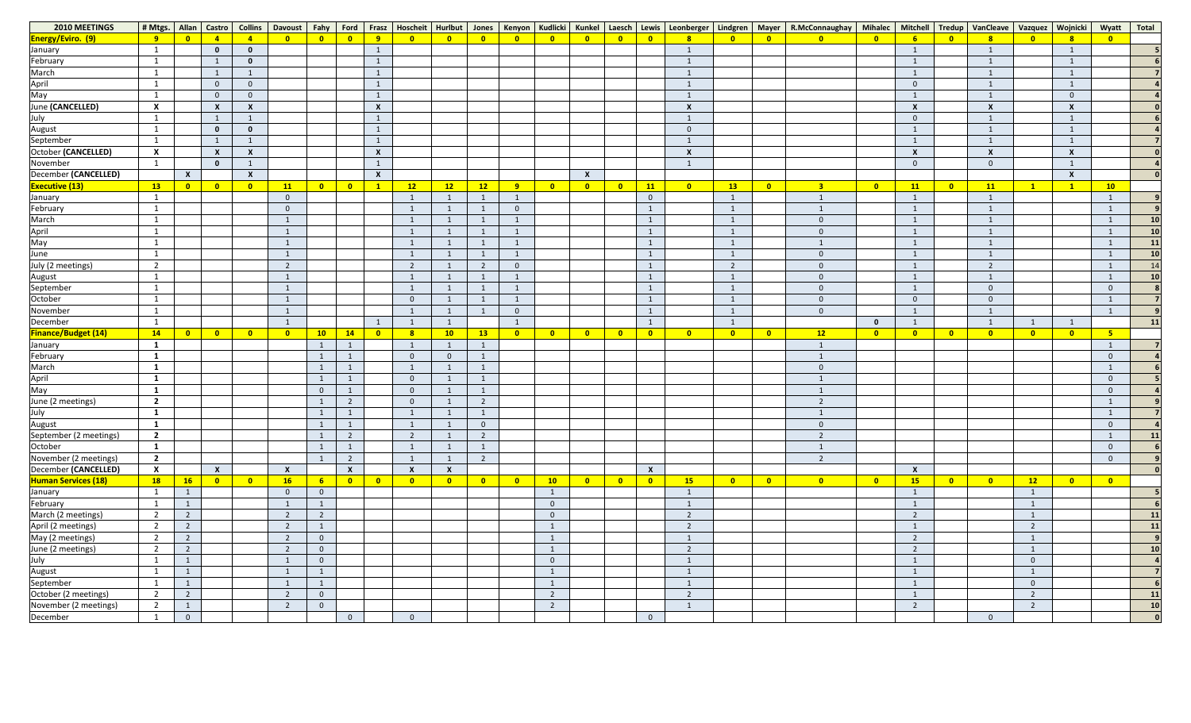| 2010 MEETINGS            | # Mtgs.   Allan           |                         |                         | Castro   Collins          | <b>Davoust</b>          | Fahy Ford               |                         |                           |                          |                           |                         |                         |                            |                         |                         |                            | Frasz   Hoscheit   Hurlbut   Jones   Kenyon   Kudlicki   Kunkel   Laesch   Lewis   Leonberger   Lindgren |                         |                         | Mayer   R.McConnaughay   Mihalec   Mitchell   Tredup |                         |                           |                         | VanCleave               |                          | Vazquez Wojnicki          | Wyatt                   | <b>Total</b>   |
|--------------------------|---------------------------|-------------------------|-------------------------|---------------------------|-------------------------|-------------------------|-------------------------|---------------------------|--------------------------|---------------------------|-------------------------|-------------------------|----------------------------|-------------------------|-------------------------|----------------------------|----------------------------------------------------------------------------------------------------------|-------------------------|-------------------------|------------------------------------------------------|-------------------------|---------------------------|-------------------------|-------------------------|--------------------------|---------------------------|-------------------------|----------------|
| <b>Energy/Eviro. (9)</b> | - 9 -                     | $\bullet$               | $\overline{4}$          |                           | $\overline{\mathbf{0}}$ | $\overline{\mathbf{0}}$ | $\overline{\mathbf{0}}$ | 9                         | $\overline{\mathbf{0}}$  | $\overline{\mathbf{0}}$   | $\bullet$               | $\overline{\mathbf{0}}$ | $\overline{\phantom{a}}$ 0 | $\overline{\mathbf{0}}$ | $\bullet$               | $\overline{\phantom{a}}$ 0 | 8                                                                                                        | $\bullet$               | $\bullet$               | $\overline{\mathbf{0}}$                              | $\overline{\mathbf{0}}$ | $\overline{6}$            | $\overline{\mathbf{0}}$ | 8                       | $\overline{\mathbf{0}}$  |                           | $\bullet$               |                |
| January                  | - 1                       |                         | $\mathbf{0}$            | $\mathbf{0}$              |                         |                         |                         | -1                        |                          |                           |                         |                         |                            |                         |                         |                            | $\overline{\mathbf{1}}$                                                                                  |                         |                         |                                                      |                         | $\overline{1}$            |                         |                         |                          |                           |                         |                |
| February                 | $\overline{1}$            |                         | $\mathbf{1}$            | $\mathbf{0}$              |                         |                         |                         | 1                         |                          |                           |                         |                         |                            |                         |                         |                            |                                                                                                          |                         |                         |                                                      |                         |                           |                         |                         |                          |                           |                         |                |
| March                    | $\overline{1}$            |                         | $\overline{1}$          |                           |                         |                         |                         |                           |                          |                           |                         |                         |                            |                         |                         |                            |                                                                                                          |                         |                         |                                                      |                         |                           |                         |                         |                          |                           |                         |                |
| April<br>May             | $\overline{1}$            |                         | $\overline{0}$          | $\overline{0}$            |                         |                         |                         | $\mathbf{1}$              |                          |                           |                         |                         |                            |                         |                         |                            |                                                                                                          |                         |                         |                                                      |                         | $\overline{0}$            |                         |                         |                          |                           |                         |                |
|                          | $\mathbf{1}$              |                         | $\overline{0}$          | $\overline{0}$            |                         |                         |                         | 1                         |                          |                           |                         |                         |                            |                         |                         |                            |                                                                                                          |                         |                         |                                                      |                         | $\overline{1}$            |                         |                         |                          | $\overline{0}$            |                         |                |
| June (CANCELLED)         | $\boldsymbol{X}$          |                         | $\boldsymbol{X}$        | $\boldsymbol{\mathsf{x}}$ |                         |                         |                         | $\boldsymbol{\mathsf{X}}$ |                          |                           |                         |                         |                            |                         |                         |                            |                                                                                                          |                         |                         |                                                      |                         | $\boldsymbol{\mathsf{X}}$ |                         | $\mathbf v$             |                          | $\boldsymbol{\mathsf{X}}$ |                         |                |
| July                     | $\mathbf{1}$              |                         | 1                       |                           |                         |                         |                         |                           |                          |                           |                         |                         |                            |                         |                         |                            |                                                                                                          |                         |                         |                                                      |                         |                           |                         |                         |                          |                           |                         |                |
| August                   | $\mathbf{1}$              |                         | $\mathbf 0$             | $\mathbf{0}$              |                         |                         |                         | 1                         |                          |                           |                         |                         |                            |                         |                         |                            | $\Omega$                                                                                                 |                         |                         |                                                      |                         |                           |                         |                         |                          |                           |                         |                |
| September                | $\mathbf{1}$              |                         | $\overline{1}$          |                           |                         |                         |                         | 1                         |                          |                           |                         |                         |                            |                         |                         |                            |                                                                                                          |                         |                         |                                                      |                         | $\mathbf{1}$              |                         |                         |                          |                           |                         |                |
| October (CANCELLED)      | $\boldsymbol{\mathsf{X}}$ |                         | $\mathbf{x}$            | $\boldsymbol{\mathsf{x}}$ |                         |                         |                         | $\boldsymbol{\mathsf{X}}$ |                          |                           |                         |                         |                            |                         |                         |                            |                                                                                                          |                         |                         |                                                      |                         | $\boldsymbol{\mathsf{X}}$ |                         | $\mathbf v$             |                          | $\boldsymbol{\mathsf{x}}$ |                         |                |
| November                 | $\mathbf{1}$              |                         | $\mathbf 0$             |                           |                         |                         |                         |                           |                          |                           |                         |                         |                            |                         |                         |                            |                                                                                                          |                         |                         |                                                      |                         |                           |                         |                         |                          |                           |                         |                |
| December (CANCELLED)     |                           | $\mathbf{X}$            |                         | $\boldsymbol{\mathsf{X}}$ |                         |                         |                         | $\boldsymbol{X}$          |                          |                           |                         |                         |                            | $\mathbf{X}$            |                         |                            |                                                                                                          |                         |                         |                                                      |                         |                           |                         |                         |                          | $\boldsymbol{\mathsf{X}}$ |                         |                |
| <b>Executive (13)</b>    | $\overline{13}$           | $\overline{\mathbf{0}}$ | $\overline{\mathbf{0}}$ | $\overline{\mathbf{0}}$   | 11                      | $\overline{\mathbf{0}}$ | $\overline{\mathbf{0}}$ | $\mathbf{1}$              | 12                       | 12                        | 12                      | 9                       | $\overline{\phantom{a}}$ 0 | $\overline{\mathbf{0}}$ | $\overline{\mathbf{0}}$ | 11                         | $\bullet$                                                                                                | 13                      | $\overline{\mathbf{0}}$ | 3 <sup>1</sup>                                       | $\overline{\mathbf{0}}$ | 11                        | $\overline{\mathbf{0}}$ | 11                      | $\mathbf{1}$             |                           | 10                      |                |
| January                  | $\mathbf{1}$              |                         |                         |                           | $\overline{0}$          |                         |                         |                           |                          |                           |                         | $\mathbf{1}$            |                            |                         |                         | $\mathbf{0}$               |                                                                                                          | $\mathbf{1}$            |                         | $\mathbf{1}$                                         |                         | $\mathbf{1}$              |                         |                         |                          |                           |                         |                |
| February                 | $\mathbf{1}$              |                         |                         |                           | $\Omega$                |                         |                         |                           |                          |                           |                         | $\overline{0}$          |                            |                         |                         |                            |                                                                                                          |                         |                         | $\mathbf{1}$                                         |                         |                           |                         |                         |                          |                           |                         |                |
| March                    | $\mathbf{1}$              |                         |                         |                           |                         |                         |                         |                           |                          |                           |                         |                         |                            |                         |                         |                            |                                                                                                          |                         |                         | $\overline{0}$                                       |                         |                           |                         |                         |                          |                           |                         | 10             |
|                          | $\mathbf{1}$              |                         |                         |                           |                         |                         |                         |                           |                          |                           |                         |                         |                            |                         |                         |                            |                                                                                                          | $\mathbf{1}$            |                         | $\overline{0}$                                       |                         |                           |                         |                         |                          |                           |                         | 10             |
| April<br>May             | $\overline{1}$            |                         |                         |                           |                         |                         |                         |                           |                          |                           |                         |                         |                            |                         |                         |                            |                                                                                                          |                         |                         | $\mathbf{1}$                                         |                         |                           |                         |                         |                          |                           |                         | 11             |
| June                     | $\mathbf{1}$              |                         |                         |                           |                         |                         |                         |                           |                          |                           |                         |                         |                            |                         |                         |                            |                                                                                                          | $\mathbf{1}$            |                         | $\overline{0}$                                       |                         |                           |                         |                         |                          |                           |                         | 10             |
| July (2 meetings)        | $\overline{2}$            |                         |                         |                           | $\overline{2}$          |                         |                         |                           | $\overline{2}$           |                           |                         | $\overline{0}$          |                            |                         |                         |                            |                                                                                                          | $\overline{2}$          |                         | $\overline{0}$                                       |                         |                           |                         | ຳ                       |                          |                           |                         | 1 <sup>2</sup> |
|                          | $\mathbf{1}$              |                         |                         |                           |                         |                         |                         |                           |                          |                           |                         | $\mathbf{1}$            |                            |                         |                         |                            |                                                                                                          | $\mathbf{1}$            |                         | $\overline{0}$                                       |                         | $\blacksquare$            |                         |                         |                          |                           |                         | 10             |
| August<br>September      |                           |                         |                         |                           |                         |                         |                         |                           |                          |                           |                         | $\mathbf{1}$            |                            |                         |                         |                            |                                                                                                          |                         |                         | $\overline{0}$                                       |                         |                           |                         |                         |                          |                           | $\Omega$                |                |
| October                  |                           |                         |                         |                           |                         |                         |                         |                           | $\theta$                 |                           |                         | $\mathbf{1}$            |                            |                         |                         |                            |                                                                                                          | $\mathbf{1}$            |                         | $\overline{0}$                                       |                         | $\overline{0}$            |                         |                         |                          |                           |                         |                |
| November                 |                           |                         |                         |                           |                         |                         |                         |                           |                          |                           |                         | $\overline{0}$          |                            |                         |                         |                            |                                                                                                          | $\mathbf{1}$            |                         | $\overline{0}$                                       |                         | $\overline{1}$            |                         |                         |                          |                           |                         |                |
| December                 | $\overline{1}$            |                         |                         |                           | $\overline{1}$          |                         |                         |                           |                          |                           |                         | 1                       |                            |                         |                         |                            |                                                                                                          | $\mathbf{1}$            |                         |                                                      | $\Omega$                | $\mathbf{1}$              |                         |                         | 1                        |                           |                         | 11             |
| Finance/Budget (14)      | $-14$                     | $\overline{\mathbf{0}}$ | $\bullet$               | $\overline{\mathbf{0}}$   | $\overline{\mathbf{0}}$ | 10                      | 14                      | $\bullet$                 | 8                        | 10                        | 13                      | $\overline{\mathbf{0}}$ | $\overline{\mathbf{0}}$    | $\overline{\mathbf{0}}$ | $\bullet$               | $\overline{\mathbf{0}}$    | $\overline{\mathbf{0}}$                                                                                  | $\bullet$               | $\overline{\mathbf{0}}$ | 12                                                   | $\overline{\mathbf{0}}$ | $\overline{\mathbf{0}}$   | $\overline{\mathbf{0}}$ | $\overline{\mathbf{0}}$ | $\overline{\phantom{0}}$ | $\overline{\mathbf{0}}$   | $5^{\circ}$             |                |
| January                  | $\mathbf{1}$              |                         |                         |                           |                         | $\mathbf{1}$            | $\mathbf{1}$            |                           |                          |                           |                         |                         |                            |                         |                         |                            |                                                                                                          |                         |                         | $\mathbf{1}$                                         |                         |                           |                         |                         |                          |                           |                         |                |
| February                 | 1                         |                         |                         |                           |                         | 1                       | 1                       |                           | $\overline{0}$           | $\overline{0}$            | 1                       |                         |                            |                         |                         |                            |                                                                                                          |                         |                         |                                                      |                         |                           |                         |                         |                          |                           | $\Omega$                |                |
| March                    | $\mathbf{1}$              |                         |                         |                           |                         | 1                       | $\mathbf{1}$            |                           |                          |                           |                         |                         |                            |                         |                         |                            |                                                                                                          |                         |                         | $\overline{0}$                                       |                         |                           |                         |                         |                          |                           |                         |                |
|                          | $\mathbf{1}$              |                         |                         |                           |                         | $\mathbf{1}$            | $\mathbf{1}$            |                           | $\overline{0}$           |                           | $\mathbf 1$             |                         |                            |                         |                         |                            |                                                                                                          |                         |                         | $\mathbf{1}$                                         |                         |                           |                         |                         |                          |                           | $\overline{0}$          |                |
| April<br>May             | 1                         |                         |                         |                           |                         | $\overline{0}$          | $\mathbf{1}$            |                           | $\overline{0}$           |                           | $\mathbf{1}$            |                         |                            |                         |                         |                            |                                                                                                          |                         |                         | $\mathbf{1}$                                         |                         |                           |                         |                         |                          |                           | $\overline{0}$          |                |
| June (2 meetings)        | $\overline{2}$            |                         |                         |                           |                         | $\mathbf{1}$            | $\overline{2}$          |                           | $\overline{0}$           |                           | $\overline{2}$          |                         |                            |                         |                         |                            |                                                                                                          |                         |                         | $2^{\circ}$                                          |                         |                           |                         |                         |                          |                           |                         |                |
| July                     | $\mathbf{1}$              |                         |                         |                           |                         | $\mathbf{1}$            | $\mathbf{1}$            |                           |                          |                           |                         |                         |                            |                         |                         |                            |                                                                                                          |                         |                         | $\mathbf{1}$                                         |                         |                           |                         |                         |                          |                           |                         |                |
| August                   | $\mathbf{1}$              |                         |                         |                           |                         | $\mathbf{1}$            | $\mathbf{1}$            |                           |                          |                           | $\mathbf{0}$            |                         |                            |                         |                         |                            |                                                                                                          |                         |                         | $\overline{0}$                                       |                         |                           |                         |                         |                          |                           | $\overline{0}$          |                |
| September (2 meetings)   | $\overline{2}$            |                         |                         |                           |                         | $\mathbf{1}$            | $\overline{2}$          |                           | $\overline{2}$           |                           | $\overline{2}$          |                         |                            |                         |                         |                            |                                                                                                          |                         |                         | $2^{\circ}$                                          |                         |                           |                         |                         |                          |                           |                         | <b>11</b>      |
| October                  | $\mathbf{1}$              |                         |                         |                           |                         | $\mathbf{1}$            | 1                       |                           |                          |                           | $\mathbf{1}$            |                         |                            |                         |                         |                            |                                                                                                          |                         |                         | $\mathbf{1}$                                         |                         |                           |                         |                         |                          |                           | $\overline{0}$          |                |
| November (2 meetings)    | $\overline{2}$            |                         |                         |                           |                         | 1                       | $\overline{2}$          |                           |                          |                           | $\overline{2}$          |                         |                            |                         |                         |                            |                                                                                                          |                         |                         | $\overline{2}$                                       |                         |                           |                         |                         |                          |                           | $\Omega$                |                |
| December (CANCELLED)     | $\boldsymbol{\mathsf{X}}$ |                         | $\mathbf{x}$            |                           | $\boldsymbol{X}$        |                         | $\mathsf{X}$            |                           | $\boldsymbol{X}$         | $\boldsymbol{\mathsf{x}}$ |                         |                         |                            |                         |                         | $\boldsymbol{\mathsf{X}}$  |                                                                                                          |                         |                         |                                                      |                         | $\boldsymbol{X}$          |                         |                         |                          |                           |                         |                |
| Human Services (18)      | $\boxed{18}$              | 16                      | $\bullet$               | $\overline{\mathbf{0}}$   | 16                      | 6 <sup>1</sup>          | $\bullet$               | $\overline{\mathbf{0}}$   | $\overline{\phantom{0}}$ | $\overline{\mathbf{0}}$   | $\overline{\mathbf{0}}$ | $\bullet$               | 10                         | $\overline{\mathbf{0}}$ | $\overline{\mathbf{0}}$ | $\overline{\mathbf{0}}$    | 15                                                                                                       | $\overline{\mathbf{0}}$ | $\overline{\mathbf{0}}$ | $\overline{\mathbf{0}}$                              | $\overline{\mathbf{0}}$ | 15                        | $\overline{\mathbf{0}}$ | $\overline{\mathbf{0}}$ | 12                       | $\bullet$                 | $\overline{\mathbf{0}}$ |                |
| January                  | $\mathbf{1}$              | $\mathbf{1}$            |                         |                           | $\overline{0}$          | $\overline{0}$          |                         |                           |                          |                           |                         |                         | $\overline{1}$             |                         |                         |                            |                                                                                                          |                         |                         |                                                      |                         | $\mathbf{1}$              |                         |                         | $\mathbf{1}$             |                           |                         |                |
| February                 | $\mathbf{1}$              | $\mathbf{1}$            |                         |                           |                         | $\mathbf{1}$            |                         |                           |                          |                           |                         |                         | $\overline{0}$             |                         |                         |                            |                                                                                                          |                         |                         |                                                      |                         |                           |                         |                         |                          |                           |                         |                |
| March (2 meetings)       | $\overline{2}$            | $\overline{2}$          |                         |                           | $\overline{2}$          | $2^{\circ}$             |                         |                           |                          |                           |                         |                         | $\mathbf 0$                |                         |                         |                            | ຳ                                                                                                        |                         |                         |                                                      |                         | $\overline{2}$            |                         |                         |                          |                           |                         | 11             |
| April (2 meetings)       | $\overline{2}$            | $\overline{2}$          |                         |                           | $\overline{2}$          | $\mathbf{1}$            |                         |                           |                          |                           |                         |                         | $\mathbf{1}$               |                         |                         |                            | ຳ                                                                                                        |                         |                         |                                                      |                         | $\mathbf{1}$              |                         |                         | $\overline{2}$           |                           |                         | <b>11</b>      |
| May (2 meetings)         | $\overline{2}$            | $\overline{2}$          |                         |                           | $\overline{2}$          | $\overline{0}$          |                         |                           |                          |                           |                         |                         | $\overline{1}$             |                         |                         |                            |                                                                                                          |                         |                         |                                                      |                         | $\overline{2}$            |                         |                         |                          |                           |                         |                |
| June (2 meetings)        | $\overline{2}$            | $\overline{2}$          |                         |                           | $\overline{2}$          | $\overline{0}$          |                         |                           |                          |                           |                         |                         | $\overline{1}$             |                         |                         |                            | ຳ                                                                                                        |                         |                         |                                                      |                         | $\overline{2}$            |                         |                         |                          |                           |                         | 10             |
| July                     | $\mathbf{1}$              | $\mathbf{1}$            |                         |                           |                         | $\overline{0}$          |                         |                           |                          |                           |                         |                         | $\mathbf 0$                |                         |                         |                            |                                                                                                          |                         |                         |                                                      |                         |                           |                         |                         | $\overline{0}$           |                           |                         |                |
| August                   | $\mathbf{1}$              | $\mathbf{1}$            |                         |                           | $\overline{1}$          | $\mathbf{1}$            |                         |                           |                          |                           |                         |                         | $\overline{1}$             |                         |                         |                            |                                                                                                          |                         |                         |                                                      |                         | $\mathbf{1}$              |                         |                         |                          |                           |                         |                |
| September                | $\overline{1}$            | $\mathbf{1}$            |                         |                           |                         | $\mathbf{1}$            |                         |                           |                          |                           |                         |                         | $\overline{1}$             |                         |                         |                            |                                                                                                          |                         |                         |                                                      |                         |                           |                         |                         | $\overline{0}$           |                           |                         |                |
| October (2 meetings)     | $\overline{2}$            | $\overline{2}$          |                         |                           | $\overline{2}$          | $\overline{0}$          |                         |                           |                          |                           |                         |                         | $\overline{2}$             |                         |                         |                            | ຳ                                                                                                        |                         |                         |                                                      |                         |                           |                         |                         | $\overline{2}$           |                           |                         | <b>11</b>      |
| November (2 meetings)    | $\overline{2}$            | $\mathbf{1}$            |                         |                           | $\overline{2}$          | $\overline{0}$          |                         |                           |                          |                           |                         |                         | $\overline{2}$             |                         |                         |                            |                                                                                                          |                         |                         |                                                      |                         | $\overline{2}$            |                         |                         | $\overline{2}$           |                           |                         | <b>10</b>      |
| December                 | $\overline{1}$            | $\overline{0}$          |                         |                           |                         |                         | $\overline{0}$          |                           | $\overline{0}$           |                           |                         |                         |                            |                         |                         | $\mathbf{0}$               |                                                                                                          |                         |                         |                                                      |                         |                           |                         | $\mathbf 0$             |                          |                           |                         |                |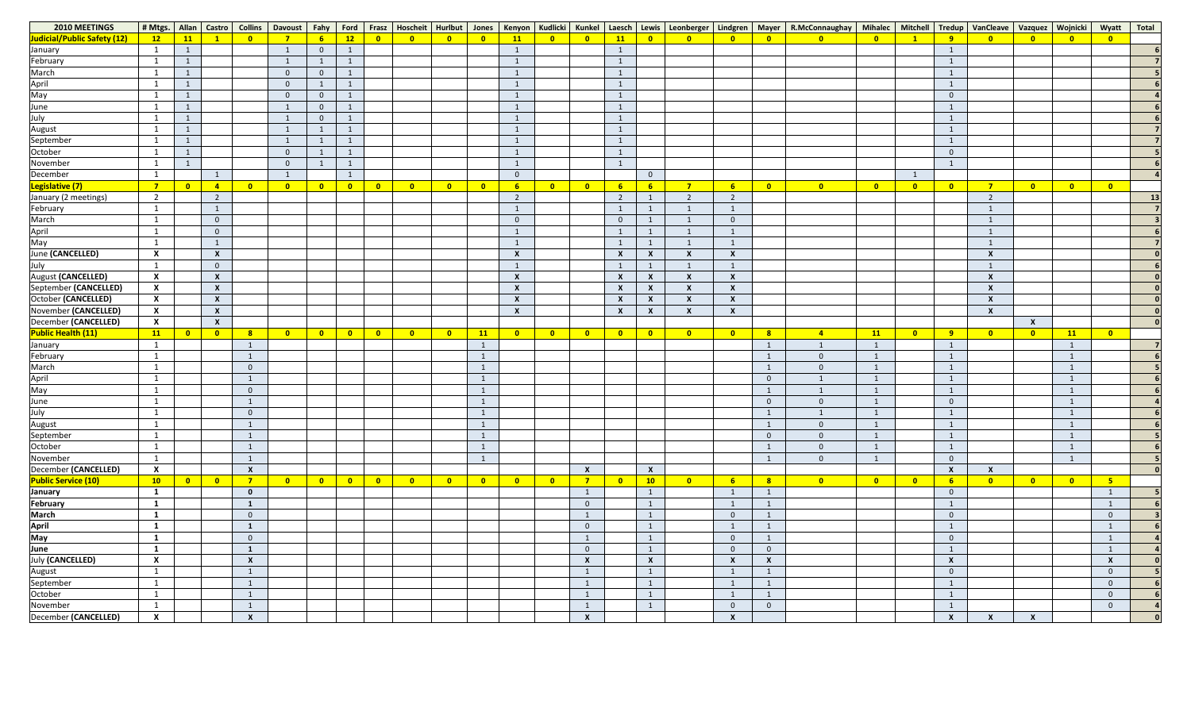| 2010 MEETINGS               |                           |                          |                         | # Mtgs.   Allan   Castro   Collins | Davoust   Fahy          |                 |              |                            |                         |                         |                         |                           |                            |                           |                           |                           | Ford   Frasz   Hoscheit   Hurlbut   Jones   Kenyon   Kudlicki   Kunkel   Laesch   Lewis   Leonberger   Lindgren |                         |                           | Mayer   R.McConnaughay   Mihalec |                         | Mitchell                |                  | Tredup   VanCleave   Vazquez   Wojnicki |                           |                         | Wyatt                     | <b>Total</b>   |
|-----------------------------|---------------------------|--------------------------|-------------------------|------------------------------------|-------------------------|-----------------|--------------|----------------------------|-------------------------|-------------------------|-------------------------|---------------------------|----------------------------|---------------------------|---------------------------|---------------------------|-----------------------------------------------------------------------------------------------------------------|-------------------------|---------------------------|----------------------------------|-------------------------|-------------------------|------------------|-----------------------------------------|---------------------------|-------------------------|---------------------------|----------------|
| Judicial/Public Safety (12) | $\overline{12}$           | 11                       | $\mathbf{1}$            | $\overline{\mathbf{0}}$            | $\mathbf{z}$            | $6\overline{6}$ | 12           | $\bullet$                  | $\overline{\mathbf{0}}$ | $\overline{\mathbf{0}}$ | $\bullet$               | 11                        | $\overline{\mathbf{0}}$    | $\bullet$                 | 11                        | $\overline{\mathbf{0}}$   | $\overline{\mathbf{0}}$                                                                                         | $\bullet$               | $\overline{\mathbf{0}}$   | $\overline{\mathbf{0}}$          | $\overline{\mathbf{0}}$ |                         | 9                | $\bullet$                               | $\overline{\mathbf{0}}$   | $\overline{\mathbf{0}}$ | $\bullet$                 |                |
| January                     | $\overline{1}$            | $\mathbf{1}$             |                         |                                    |                         | $\overline{0}$  | $\mathbf{1}$ |                            |                         |                         |                         | $\mathbf{1}$              |                            |                           |                           |                           |                                                                                                                 |                         |                           |                                  |                         |                         |                  |                                         |                           |                         |                           |                |
| February                    |                           | $\overline{1}$           |                         |                                    |                         | $\mathbf{1}$    | $\mathbf{1}$ |                            |                         |                         |                         | $\mathbf{1}$              |                            |                           |                           |                           |                                                                                                                 |                         |                           |                                  |                         |                         |                  |                                         |                           |                         |                           |                |
| March                       |                           | $\mathbf{1}$             |                         |                                    | $\Omega$                | $\overline{0}$  | 1            |                            |                         |                         |                         | $\mathbf{1}$              |                            |                           |                           |                           |                                                                                                                 |                         |                           |                                  |                         |                         |                  |                                         |                           |                         |                           |                |
|                             |                           | $\mathbf{1}$             |                         |                                    | $\Omega$                | $\mathbf{1}$    | $\mathbf{1}$ |                            |                         |                         |                         | $\mathbf{1}$              |                            |                           |                           |                           |                                                                                                                 |                         |                           |                                  |                         |                         |                  |                                         |                           |                         |                           |                |
| April<br>May                | $\overline{\phantom{0}}$  | $\overline{1}$           |                         |                                    | $\overline{0}$          | $\overline{0}$  | 1            |                            |                         |                         |                         | $\mathbf{1}$              |                            |                           |                           |                           |                                                                                                                 |                         |                           |                                  |                         |                         | $\overline{0}$   |                                         |                           |                         |                           |                |
| June                        |                           | $\overline{1}$           |                         |                                    |                         | $\overline{0}$  | $\mathbf{1}$ |                            |                         |                         |                         | $\mathbf{1}$              |                            |                           |                           |                           |                                                                                                                 |                         |                           |                                  |                         |                         |                  |                                         |                           |                         |                           |                |
| July                        | $\overline{\phantom{0}}$  | $\overline{1}$           |                         |                                    |                         | $\overline{0}$  | $\mathbf{1}$ |                            |                         |                         |                         | $\mathbf{1}$              |                            |                           |                           |                           |                                                                                                                 |                         |                           |                                  |                         |                         |                  |                                         |                           |                         |                           |                |
| August                      |                           | $\mathbf{1}$             |                         |                                    |                         | 1               | 1            |                            |                         |                         |                         | $\mathbf{1}$              |                            |                           |                           |                           |                                                                                                                 |                         |                           |                                  |                         |                         |                  |                                         |                           |                         |                           |                |
| September                   | $\overline{1}$            | $\mathbf{1}$             |                         |                                    |                         | $\mathbf{1}$    | $\mathbf{1}$ |                            |                         |                         |                         | $\mathbf{1}$              |                            |                           |                           |                           |                                                                                                                 |                         |                           |                                  |                         |                         |                  |                                         |                           |                         |                           |                |
| October                     |                           | $\overline{1}$           |                         |                                    | $\Omega$                | $\mathbf{1}$    | 1            |                            |                         |                         |                         | $\mathbf{1}$              |                            |                           |                           |                           |                                                                                                                 |                         |                           |                                  |                         |                         | $\overline{0}$   |                                         |                           |                         |                           |                |
| November                    | $\overline{1}$            | $\overline{1}$           |                         |                                    | $\overline{0}$          | $\mathbf{1}$    | 1            |                            |                         |                         |                         | $\mathbf{1}$              |                            |                           |                           |                           |                                                                                                                 |                         |                           |                                  |                         |                         |                  |                                         |                           |                         |                           |                |
| December                    | $\mathbf{1}$              |                          |                         |                                    |                         |                 | 1            |                            |                         |                         |                         | $\overline{0}$            |                            |                           |                           | $\overline{0}$            |                                                                                                                 |                         |                           |                                  |                         | $\mathbf{1}$            |                  |                                         |                           |                         |                           |                |
| Legislative (7)             | $\overline{7}$            | $\overline{\phantom{0}}$ | $\overline{4}$          | $\overline{\mathbf{0}}$            | $\overline{\mathbf{0}}$ | $\bullet$       | $\bullet$    | $\overline{\mathbf{0}}$    | $\overline{\mathbf{0}}$ | $\overline{\mathbf{0}}$ | $\overline{\mathbf{0}}$ | 6 <sup>1</sup>            | $\overline{\phantom{0}}$   | $\overline{\mathbf{0}}$   | 6 <sup>1</sup>            | 6 <sup>1</sup>            | $\overline{7}$                                                                                                  | $6\overline{6}$         | $\overline{\mathbf{0}}$   | $\overline{\phantom{0}}$ 0       | $\overline{\mathbf{0}}$ | $\overline{\mathbf{0}}$ | $\bullet$        | $\overline{7}$                          | $\overline{\mathbf{0}}$   | $\overline{\mathbf{0}}$ | $\overline{\mathbf{0}}$   |                |
| January (2 meetings)        | $\overline{2}$            |                          | $\overline{2}$          |                                    |                         |                 |              |                            |                         |                         |                         | $\overline{2}$            |                            |                           | $\overline{2}$            |                           |                                                                                                                 | $\overline{2}$          |                           |                                  |                         |                         |                  | $\overline{2}$                          |                           |                         |                           | 1 <sup>3</sup> |
| February                    | $\mathbf{1}$              |                          |                         |                                    |                         |                 |              |                            |                         |                         |                         | $\mathbf{1}$              |                            |                           |                           |                           |                                                                                                                 | $\mathbf{1}$            |                           |                                  |                         |                         |                  |                                         |                           |                         |                           |                |
| March                       | $\mathbf{1}$              |                          | $\overline{0}$          |                                    |                         |                 |              |                            |                         |                         |                         | $\overline{0}$            |                            |                           | $\mathbf 0$               |                           |                                                                                                                 | $\overline{0}$          |                           |                                  |                         |                         |                  |                                         |                           |                         |                           |                |
| April                       | $\mathbf{1}$              |                          | $\overline{0}$          |                                    |                         |                 |              |                            |                         |                         |                         | $\mathbf{1}$              |                            |                           |                           |                           |                                                                                                                 | $\mathbf{1}$            |                           |                                  |                         |                         |                  |                                         |                           |                         |                           |                |
| May                         | $\mathbf{1}$              |                          | 1                       |                                    |                         |                 |              |                            |                         |                         |                         | $\mathbf{1}$              |                            |                           |                           |                           |                                                                                                                 | $\mathbf{1}$            |                           |                                  |                         |                         |                  |                                         |                           |                         |                           |                |
| June (CANCELLED)            | $\boldsymbol{X}$          |                          | $\boldsymbol{X}$        |                                    |                         |                 |              |                            |                         |                         |                         | $\boldsymbol{\mathsf{X}}$ |                            |                           | $\boldsymbol{X}$          | X                         |                                                                                                                 | $\boldsymbol{X}$        |                           |                                  |                         |                         |                  |                                         |                           |                         |                           |                |
| July                        | $\mathbf{1}$              |                          | $\overline{0}$          |                                    |                         |                 |              |                            |                         |                         |                         | $\mathbf{1}$              |                            |                           |                           |                           |                                                                                                                 | $\mathbf{1}$            |                           |                                  |                         |                         |                  |                                         |                           |                         |                           |                |
| August (CANCELLED)          | $\boldsymbol{\mathsf{X}}$ |                          | $\boldsymbol{X}$        |                                    |                         |                 |              |                            |                         |                         |                         | $\boldsymbol{\mathsf{X}}$ |                            |                           | $\mathsf{x}$              | $\mathbf{x}$              |                                                                                                                 | $\boldsymbol{X}$        |                           |                                  |                         |                         |                  |                                         |                           |                         |                           |                |
| September (CANCELLED)       | $\boldsymbol{\mathsf{X}}$ |                          | $\boldsymbol{X}$        |                                    |                         |                 |              |                            |                         |                         |                         | $\boldsymbol{\mathsf{X}}$ |                            |                           | X                         | X                         |                                                                                                                 | $\boldsymbol{X}$        |                           |                                  |                         |                         |                  |                                         |                           |                         |                           |                |
| October (CANCELLED)         | $\boldsymbol{\mathsf{X}}$ |                          | $\boldsymbol{X}$        |                                    |                         |                 |              |                            |                         |                         |                         | $\boldsymbol{\mathsf{X}}$ |                            |                           | $\boldsymbol{\mathsf{X}}$ | $\boldsymbol{\mathsf{X}}$ |                                                                                                                 | $\boldsymbol{X}$        |                           |                                  |                         |                         |                  |                                         |                           |                         |                           |                |
| November (CANCELLED)        | $\boldsymbol{\mathsf{X}}$ |                          | $\boldsymbol{X}$        |                                    |                         |                 |              |                            |                         |                         |                         | $\boldsymbol{X}$          |                            |                           | $\boldsymbol{\mathsf{X}}$ | X                         |                                                                                                                 | $\boldsymbol{X}$        |                           |                                  |                         |                         |                  |                                         |                           |                         |                           |                |
| December (CANCELLED)        | $\boldsymbol{\mathsf{X}}$ |                          | $\boldsymbol{X}$        |                                    |                         |                 |              |                            |                         |                         |                         |                           |                            |                           |                           |                           |                                                                                                                 |                         |                           |                                  |                         |                         |                  |                                         | $\boldsymbol{\mathsf{X}}$ |                         |                           |                |
| <b>Public Health (11)</b>   | 11                        | $\bullet$                | $\bullet$               | 8                                  | $\bullet$               | $\bullet$       | $\bullet$    | $\overline{\phantom{a}}$ 0 | $\overline{\mathbf{0}}$ | $\overline{\mathbf{0}}$ | 11                      | $\overline{\mathbf{0}}$   | $\overline{\mathbf{0}}$    | $\bullet$                 | $\overline{\mathbf{0}}$   | $\overline{\mathbf{0}}$   | $\overline{\mathbf{0}}$                                                                                         | $\overline{\mathbf{0}}$ | 8                         | $\overline{4}$                   | 11                      | $\overline{\mathbf{0}}$ | 9                | $\overline{\mathbf{0}}$                 | $\bullet$                 | 11                      | $\overline{\mathbf{0}}$   |                |
| January                     | $\mathbf{1}$              |                          |                         |                                    |                         |                 |              |                            |                         |                         |                         |                           |                            |                           |                           |                           |                                                                                                                 |                         |                           |                                  |                         |                         |                  |                                         |                           |                         |                           |                |
| February                    |                           |                          |                         |                                    |                         |                 |              |                            |                         |                         | -1                      |                           |                            |                           |                           |                           |                                                                                                                 |                         |                           | $\theta$                         |                         |                         |                  |                                         |                           |                         |                           |                |
| March                       | $\mathbf{1}$              |                          |                         | $\overline{0}$                     |                         |                 |              |                            |                         |                         |                         |                           |                            |                           |                           |                           |                                                                                                                 |                         | $\blacksquare$            | $\mathbf{0}$                     |                         |                         |                  |                                         |                           |                         |                           |                |
|                             |                           |                          |                         |                                    |                         |                 |              |                            |                         |                         | $\mathbf{1}$            |                           |                            |                           |                           |                           |                                                                                                                 |                         | $\overline{0}$            |                                  |                         |                         |                  |                                         |                           |                         |                           |                |
| April<br>May                | $\overline{1}$            |                          |                         | $\overline{0}$                     |                         |                 |              |                            |                         |                         | 1                       |                           |                            |                           |                           |                           |                                                                                                                 |                         | - 1                       |                                  |                         |                         |                  |                                         |                           |                         |                           |                |
| June                        | $\mathbf{1}$              |                          |                         |                                    |                         |                 |              |                            |                         |                         | $\mathbf{1}$            |                           |                            |                           |                           |                           |                                                                                                                 |                         | $\overline{0}$            | $\mathbf{0}$                     |                         |                         | $\overline{0}$   |                                         |                           | $\mathbf{1}$            |                           |                |
| July                        | $\mathbf{1}$              |                          |                         | $\overline{0}$                     |                         |                 |              |                            |                         |                         |                         |                           |                            |                           |                           |                           |                                                                                                                 |                         |                           |                                  |                         |                         |                  |                                         |                           |                         |                           |                |
| <b>August</b>               |                           |                          |                         |                                    |                         |                 |              |                            |                         |                         | 1                       |                           |                            |                           |                           |                           |                                                                                                                 |                         | $\blacksquare$            | $\mathbf{0}$                     |                         |                         |                  |                                         |                           | $\mathbf{1}$            |                           |                |
| September                   | $\overline{1}$            |                          |                         |                                    |                         |                 |              |                            |                         |                         | 1                       |                           |                            |                           |                           |                           |                                                                                                                 |                         | $\overline{0}$            | $\overline{0}$                   |                         |                         |                  |                                         |                           | $\mathbf{1}$            |                           |                |
| October                     |                           |                          |                         |                                    |                         |                 |              |                            |                         |                         | 1                       |                           |                            |                           |                           |                           |                                                                                                                 |                         | $\mathbf{1}$              | $\overline{0}$                   |                         |                         |                  |                                         |                           | $\mathbf{1}$            |                           |                |
| November                    | $\overline{\phantom{0}}$  |                          |                         |                                    |                         |                 |              |                            |                         |                         | 1                       |                           |                            |                           |                           |                           |                                                                                                                 |                         | $\mathbf{1}$              | $\overline{0}$                   |                         |                         | $\overline{0}$   |                                         |                           | $\mathbf{1}$            |                           |                |
| December (CANCELLED)        | $\boldsymbol{\mathsf{X}}$ |                          |                         | $\boldsymbol{X}$                   |                         |                 |              |                            |                         |                         |                         |                           |                            | $\boldsymbol{\mathsf{X}}$ |                           | $\mathbf{x}$              |                                                                                                                 |                         |                           |                                  |                         |                         | $\boldsymbol{X}$ | $\boldsymbol{\mathsf{X}}$               |                           |                         |                           |                |
| <b>Public Service (10)</b>  | $\overline{10}$           | $\bullet$                | $\overline{\mathbf{0}}$ | $\overline{7}$                     | $\overline{\mathbf{0}}$ | $\bullet$       | $\bullet$    | $\overline{\phantom{a}}$ 0 | $\overline{\mathbf{0}}$ | $\overline{\mathbf{0}}$ | $\bullet$               | $\overline{\mathbf{0}}$   | $\overline{\phantom{0}}$ 0 | $\overline{7}$            | $\overline{\mathbf{0}}$   | 10                        | $\overline{\mathbf{0}}$                                                                                         | $6\overline{6}$         | 8 <sup>2</sup>            | $\overline{\mathbf{0}}$          | $\overline{\mathbf{0}}$ | $\overline{\mathbf{0}}$ | 6 <sup>1</sup>   | $\overline{\mathbf{0}}$                 | $\overline{\mathbf{0}}$   | $\overline{\mathbf{0}}$ | 5                         |                |
| <b>January</b>              | $\mathbf{1}$              |                          |                         | $\mathbf{0}$                       |                         |                 |              |                            |                         |                         |                         |                           |                            |                           |                           | - 1                       |                                                                                                                 | $\mathbf{1}$            |                           |                                  |                         |                         | $\overline{0}$   |                                         |                           |                         |                           |                |
| February                    | $\mathbf{1}$              |                          |                         |                                    |                         |                 |              |                            |                         |                         |                         |                           |                            | $\overline{0}$            |                           |                           |                                                                                                                 | $\mathbf{1}$            |                           |                                  |                         |                         |                  |                                         |                           |                         |                           |                |
| March                       | $\mathbf{1}$              |                          |                         | $\overline{0}$                     |                         |                 |              |                            |                         |                         |                         |                           |                            |                           |                           | -1                        |                                                                                                                 | $\overline{0}$          |                           |                                  |                         |                         | $\overline{0}$   |                                         |                           |                         | $\Omega$                  |                |
|                             | $\mathbf{1}$              |                          |                         |                                    |                         |                 |              |                            |                         |                         |                         |                           |                            | $\overline{0}$            |                           | - 1                       |                                                                                                                 | $\mathbf{1}$            | -1                        |                                  |                         |                         |                  |                                         |                           |                         |                           |                |
| <b>April</b><br><b>May</b>  | $\mathbf{1}$              |                          |                         | $\overline{0}$                     |                         |                 |              |                            |                         |                         |                         |                           |                            |                           |                           | $\mathbf{1}$              |                                                                                                                 | $\overline{0}$          |                           |                                  |                         |                         | $\overline{0}$   |                                         |                           |                         |                           |                |
| June                        | $\mathbf{1}$              |                          |                         |                                    |                         |                 |              |                            |                         |                         |                         |                           |                            | $\overline{0}$            |                           | $\mathbf{1}$              |                                                                                                                 | $\overline{0}$          | $\overline{0}$            |                                  |                         |                         |                  |                                         |                           |                         |                           |                |
| July (CANCELLED)            | $\boldsymbol{\mathsf{X}}$ |                          |                         | $\boldsymbol{X}$                   |                         |                 |              |                            |                         |                         |                         |                           |                            | $\boldsymbol{\mathsf{X}}$ |                           | $\mathbf{x}$              |                                                                                                                 | $\boldsymbol{X}$        | $\boldsymbol{\mathsf{X}}$ |                                  |                         |                         | $\boldsymbol{X}$ |                                         |                           |                         | $\boldsymbol{\mathsf{X}}$ |                |
| August                      | $\mathbf{1}$              |                          |                         |                                    |                         |                 |              |                            |                         |                         |                         |                           |                            |                           |                           | - 1                       |                                                                                                                 | $\mathbf{1}$            |                           |                                  |                         |                         | $\overline{0}$   |                                         |                           |                         | $\overline{0}$            |                |
| September                   | $\mathbf{1}$              |                          |                         |                                    |                         |                 |              |                            |                         |                         |                         |                           |                            |                           |                           | $\mathbf{1}$              |                                                                                                                 | $\mathbf{1}$            |                           |                                  |                         |                         |                  |                                         |                           |                         | $\mathbf{0}$              |                |
| October                     | $\mathbf{1}$              |                          |                         |                                    |                         |                 |              |                            |                         |                         |                         |                           |                            |                           |                           |                           |                                                                                                                 | $\mathbf{1}$            |                           |                                  |                         |                         |                  |                                         |                           |                         | $\overline{0}$            |                |
| November                    | $\mathbf{1}$              |                          |                         |                                    |                         |                 |              |                            |                         |                         |                         |                           |                            |                           |                           |                           |                                                                                                                 | $\overline{0}$          | $\overline{0}$            |                                  |                         |                         |                  |                                         |                           |                         | $\overline{0}$            |                |
| December (CANCELLED)        | $\boldsymbol{X}$          |                          |                         | $\boldsymbol{\mathsf{X}}$          |                         |                 |              |                            |                         |                         |                         |                           |                            | $\boldsymbol{\mathsf{X}}$ |                           |                           |                                                                                                                 | $\boldsymbol{X}$        |                           |                                  |                         |                         | $\boldsymbol{X}$ |                                         | $\boldsymbol{\mathsf{X}}$ |                         |                           |                |
|                             |                           |                          |                         |                                    |                         |                 |              |                            |                         |                         |                         |                           |                            |                           |                           |                           |                                                                                                                 |                         |                           |                                  |                         |                         |                  |                                         |                           |                         |                           |                |